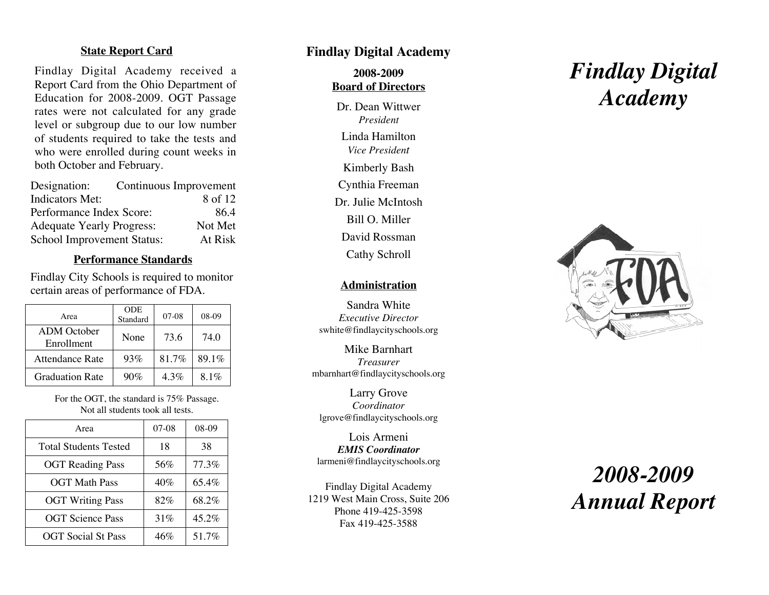#### **State Report Card**

Findlay Digital Academy received a Report Card from the Ohio Department of Education for 2008-2009. OGT Passage rates were not calculated for any grade level or subgroup due to our low number of students required to take the tests and who were enrolled during count weeks in both October and February.

| Designation:                      | Continuous Improvement |
|-----------------------------------|------------------------|
| <b>Indicators Met:</b>            | 8 of 12                |
| Performance Index Score:          | 86.4                   |
| <b>Adequate Yearly Progress:</b>  | Not Met                |
| <b>School Improvement Status:</b> | At Risk                |

## **Performance Standards**

Findlay City Schools is required to monitor certain areas of performance of FDA.

| Area                             | <b>ODE</b><br>Standard | $07-08$ | 08-09   |
|----------------------------------|------------------------|---------|---------|
| <b>ADM</b> October<br>Enrollment | None                   | 73.6    | 74.0    |
| Attendance Rate                  | 93%                    | 81.7%   | 89.1%   |
| <b>Graduation Rate</b>           | 90%                    | $4.3\%$ | $8.1\%$ |

For the OGT, the standard is 75% Passage. Not all students took all tests.

| Area                         | $07-08$ | 08-09 |
|------------------------------|---------|-------|
| <b>Total Students Tested</b> | 18      | 38    |
| <b>OGT</b> Reading Pass      | 56%     | 77.3% |
| <b>OGT Math Pass</b>         | 40%     | 65.4% |
| <b>OGT Writing Pass</b>      | 82%     | 68.2% |
| <b>OGT</b> Science Pass      | 31%     | 45.2% |
| <b>OGT</b> Social St Pass    | 46%     | 51.7% |

## **Findlay Digital Academy**

**2008-2009 Board of Directors**

Dr. Dean Wittwer *President* Linda Hamilton *Vice Presiden t* Kimberly Bash Cynthia Freeman Dr. Julie McIntosh Bill O. Miller David Rossman Cathy Schroll

#### **Administration**

Sandra White *Executive Director* swhite@findlaycityschools.org

Mike Barnhart *Treasurer* mbarnhart@findlaycityschools.org

Larry Grove *Coordinator* lgrove@findlaycityschools.org

Lois Armeni *EMIS Coordinator* larmeni@findlaycityschools.org

Findlay Digital Academy 1219 West Main Cross, Suite 206 Phone 419-425-3598 Fax 419-425-3588

# *Findlay Digital Academy*



## *2008-2009 Annual Report*